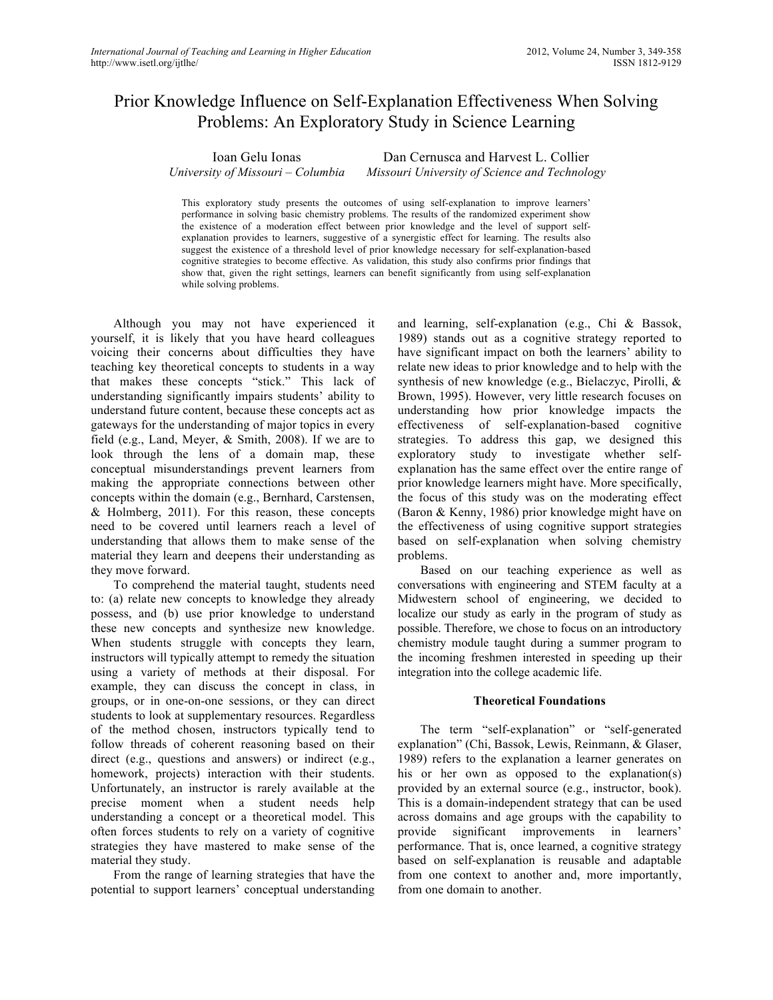# Prior Knowledge Influence on Self-Explanation Effectiveness When Solving Problems: An Exploratory Study in Science Learning

Ioan Gelu Ionas *University of Missouri – Columbia*

Dan Cernusca and Harvest L. Collier *Missouri University of Science and Technology*

This exploratory study presents the outcomes of using self-explanation to improve learners' performance in solving basic chemistry problems. The results of the randomized experiment show the existence of a moderation effect between prior knowledge and the level of support selfexplanation provides to learners, suggestive of a synergistic effect for learning. The results also suggest the existence of a threshold level of prior knowledge necessary for self-explanation-based cognitive strategies to become effective. As validation, this study also confirms prior findings that show that, given the right settings, learners can benefit significantly from using self-explanation while solving problems.

Although you may not have experienced it yourself, it is likely that you have heard colleagues voicing their concerns about difficulties they have teaching key theoretical concepts to students in a way that makes these concepts "stick." This lack of understanding significantly impairs students' ability to understand future content, because these concepts act as gateways for the understanding of major topics in every field (e.g., Land, Meyer, & Smith, 2008). If we are to look through the lens of a domain map, these conceptual misunderstandings prevent learners from making the appropriate connections between other concepts within the domain (e.g., Bernhard, Carstensen, & Holmberg, 2011). For this reason, these concepts need to be covered until learners reach a level of understanding that allows them to make sense of the material they learn and deepens their understanding as they move forward.

To comprehend the material taught, students need to: (a) relate new concepts to knowledge they already possess, and (b) use prior knowledge to understand these new concepts and synthesize new knowledge. When students struggle with concepts they learn, instructors will typically attempt to remedy the situation using a variety of methods at their disposal. For example, they can discuss the concept in class, in groups, or in one-on-one sessions, or they can direct students to look at supplementary resources. Regardless of the method chosen, instructors typically tend to follow threads of coherent reasoning based on their direct (e.g., questions and answers) or indirect (e.g., homework, projects) interaction with their students. Unfortunately, an instructor is rarely available at the precise moment when a student needs help understanding a concept or a theoretical model. This often forces students to rely on a variety of cognitive strategies they have mastered to make sense of the material they study.

From the range of learning strategies that have the potential to support learners' conceptual understanding

and learning, self-explanation (e.g., Chi & Bassok, 1989) stands out as a cognitive strategy reported to have significant impact on both the learners' ability to relate new ideas to prior knowledge and to help with the synthesis of new knowledge (e.g., Bielaczyc, Pirolli, & Brown, 1995). However, very little research focuses on understanding how prior knowledge impacts the effectiveness of self-explanation-based cognitive strategies. To address this gap, we designed this exploratory study to investigate whether selfexplanation has the same effect over the entire range of prior knowledge learners might have. More specifically, the focus of this study was on the moderating effect (Baron & Kenny, 1986) prior knowledge might have on the effectiveness of using cognitive support strategies based on self-explanation when solving chemistry problems.

Based on our teaching experience as well as conversations with engineering and STEM faculty at a Midwestern school of engineering, we decided to localize our study as early in the program of study as possible. Therefore, we chose to focus on an introductory chemistry module taught during a summer program to the incoming freshmen interested in speeding up their integration into the college academic life.

#### **Theoretical Foundations**

The term "self-explanation" or "self-generated explanation" (Chi, Bassok, Lewis, Reinmann, & Glaser, 1989) refers to the explanation a learner generates on his or her own as opposed to the explanation(s) provided by an external source (e.g., instructor, book). This is a domain-independent strategy that can be used across domains and age groups with the capability to provide significant improvements in learners' performance. That is, once learned, a cognitive strategy based on self-explanation is reusable and adaptable from one context to another and, more importantly, from one domain to another.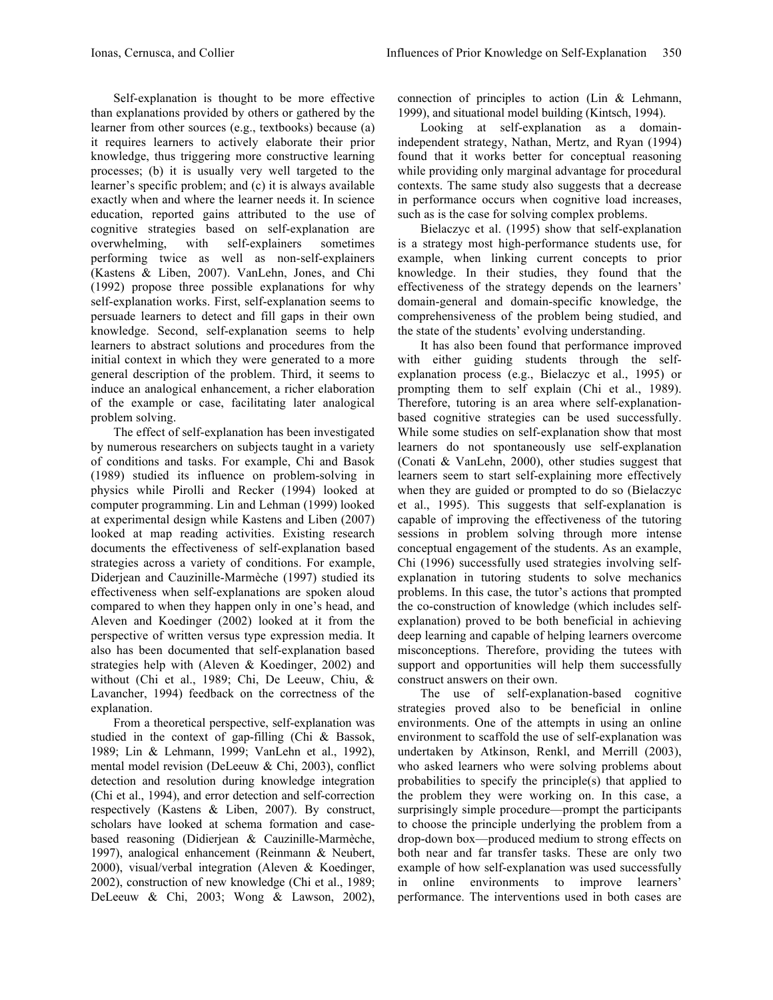Self-explanation is thought to be more effective than explanations provided by others or gathered by the learner from other sources (e.g., textbooks) because (a) it requires learners to actively elaborate their prior knowledge, thus triggering more constructive learning processes; (b) it is usually very well targeted to the learner's specific problem; and (c) it is always available exactly when and where the learner needs it. In science education, reported gains attributed to the use of cognitive strategies based on self-explanation are overwhelming, with self-explainers sometimes performing twice as well as non-self-explainers (Kastens & Liben, 2007). VanLehn, Jones, and Chi (1992) propose three possible explanations for why self-explanation works. First, self-explanation seems to persuade learners to detect and fill gaps in their own knowledge. Second, self-explanation seems to help learners to abstract solutions and procedures from the initial context in which they were generated to a more general description of the problem. Third, it seems to induce an analogical enhancement, a richer elaboration of the example or case, facilitating later analogical problem solving.

The effect of self-explanation has been investigated by numerous researchers on subjects taught in a variety of conditions and tasks. For example, Chi and Basok (1989) studied its influence on problem-solving in physics while Pirolli and Recker (1994) looked at computer programming. Lin and Lehman (1999) looked at experimental design while Kastens and Liben (2007) looked at map reading activities. Existing research documents the effectiveness of self-explanation based strategies across a variety of conditions. For example, Diderjean and Cauzinille-Marmèche (1997) studied its effectiveness when self-explanations are spoken aloud compared to when they happen only in one's head, and Aleven and Koedinger (2002) looked at it from the perspective of written versus type expression media. It also has been documented that self-explanation based strategies help with (Aleven & Koedinger, 2002) and without (Chi et al., 1989; Chi, De Leeuw, Chiu, & Lavancher, 1994) feedback on the correctness of the explanation.

From a theoretical perspective, self-explanation was studied in the context of gap-filling (Chi & Bassok, 1989; Lin & Lehmann, 1999; VanLehn et al., 1992), mental model revision (DeLeeuw & Chi, 2003), conflict detection and resolution during knowledge integration (Chi et al., 1994), and error detection and self-correction respectively (Kastens & Liben, 2007). By construct, scholars have looked at schema formation and casebased reasoning (Didierjean & Cauzinille-Marmèche, 1997), analogical enhancement (Reinmann & Neubert, 2000), visual/verbal integration (Aleven & Koedinger, 2002), construction of new knowledge (Chi et al., 1989; DeLeeuw & Chi, 2003; Wong & Lawson, 2002),

connection of principles to action (Lin & Lehmann, 1999), and situational model building (Kintsch, 1994).

Looking at self-explanation as a domainindependent strategy, Nathan, Mertz, and Ryan (1994) found that it works better for conceptual reasoning while providing only marginal advantage for procedural contexts. The same study also suggests that a decrease in performance occurs when cognitive load increases, such as is the case for solving complex problems.

Bielaczyc et al. (1995) show that self-explanation is a strategy most high-performance students use, for example, when linking current concepts to prior knowledge. In their studies, they found that the effectiveness of the strategy depends on the learners' domain-general and domain-specific knowledge, the comprehensiveness of the problem being studied, and the state of the students' evolving understanding.

It has also been found that performance improved with either guiding students through the selfexplanation process (e.g., Bielaczyc et al., 1995) or prompting them to self explain (Chi et al., 1989). Therefore, tutoring is an area where self-explanationbased cognitive strategies can be used successfully. While some studies on self-explanation show that most learners do not spontaneously use self-explanation (Conati & VanLehn, 2000), other studies suggest that learners seem to start self-explaining more effectively when they are guided or prompted to do so (Bielaczyc et al., 1995). This suggests that self-explanation is capable of improving the effectiveness of the tutoring sessions in problem solving through more intense conceptual engagement of the students. As an example, Chi (1996) successfully used strategies involving selfexplanation in tutoring students to solve mechanics problems. In this case, the tutor's actions that prompted the co-construction of knowledge (which includes selfexplanation) proved to be both beneficial in achieving deep learning and capable of helping learners overcome misconceptions. Therefore, providing the tutees with support and opportunities will help them successfully construct answers on their own.

The use of self-explanation-based cognitive strategies proved also to be beneficial in online environments. One of the attempts in using an online environment to scaffold the use of self-explanation was undertaken by Atkinson, Renkl, and Merrill (2003), who asked learners who were solving problems about probabilities to specify the principle(s) that applied to the problem they were working on. In this case, a surprisingly simple procedure—prompt the participants to choose the principle underlying the problem from a drop-down box—produced medium to strong effects on both near and far transfer tasks. These are only two example of how self-explanation was used successfully in online environments to improve learners' performance. The interventions used in both cases are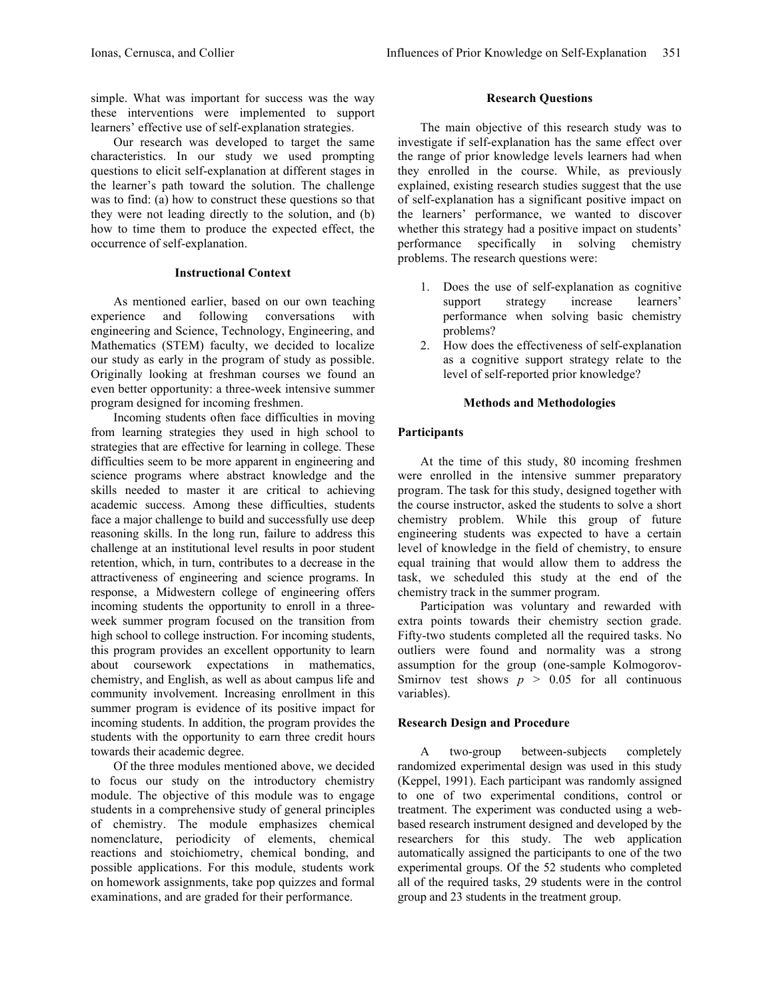simple. What was important for success was the way these interventions were implemented to support learners' effective use of self-explanation strategies.

Our research was developed to target the same characteristics. In our study we used prompting questions to elicit self-explanation at different stages in the learner's path toward the solution. The challenge was to find: (a) how to construct these questions so that they were not leading directly to the solution, and (b) how to time them to produce the expected effect, the occurrence of self-explanation.

#### **Instructional Context**

As mentioned earlier, based on our own teaching experience and following conversations with engineering and Science, Technology, Engineering, and Mathematics (STEM) faculty, we decided to localize our study as early in the program of study as possible. Originally looking at freshman courses we found an even better opportunity: a three-week intensive summer program designed for incoming freshmen.

Incoming students often face difficulties in moving from learning strategies they used in high school to strategies that are effective for learning in college. These difficulties seem to be more apparent in engineering and science programs where abstract knowledge and the skills needed to master it are critical to achieving academic success. Among these difficulties, students face a major challenge to build and successfully use deep reasoning skills. In the long run, failure to address this challenge at an institutional level results in poor student retention, which, in turn, contributes to a decrease in the attractiveness of engineering and science programs. In response, a Midwestern college of engineering offers incoming students the opportunity to enroll in a threeweek summer program focused on the transition from high school to college instruction. For incoming students, this program provides an excellent opportunity to learn about coursework expectations in mathematics, chemistry, and English, as well as about campus life and community involvement. Increasing enrollment in this summer program is evidence of its positive impact for incoming students. In addition, the program provides the students with the opportunity to earn three credit hours towards their academic degree.

Of the three modules mentioned above, we decided to focus our study on the introductory chemistry module. The objective of this module was to engage students in a comprehensive study of general principles of chemistry. The module emphasizes chemical nomenclature, periodicity of elements, chemical reactions and stoichiometry, chemical bonding, and possible applications. For this module, students work on homework assignments, take pop quizzes and formal examinations, and are graded for their performance.

# **Research Questions**

The main objective of this research study was to investigate if self-explanation has the same effect over the range of prior knowledge levels learners had when they enrolled in the course. While, as previously explained, existing research studies suggest that the use of self-explanation has a significant positive impact on the learners' performance, we wanted to discover whether this strategy had a positive impact on students' performance specifically in solving chemistry problems. The research questions were:

- 1. Does the use of self-explanation as cognitive support strategy increase learners' performance when solving basic chemistry problems?
- 2. How does the effectiveness of self-explanation as a cognitive support strategy relate to the level of self-reported prior knowledge?

# **Methods and Methodologies**

# **Participants**

At the time of this study, 80 incoming freshmen were enrolled in the intensive summer preparatory program. The task for this study, designed together with the course instructor, asked the students to solve a short chemistry problem. While this group of future engineering students was expected to have a certain level of knowledge in the field of chemistry, to ensure equal training that would allow them to address the task, we scheduled this study at the end of the chemistry track in the summer program.

Participation was voluntary and rewarded with extra points towards their chemistry section grade. Fifty-two students completed all the required tasks. No outliers were found and normality was a strong assumption for the group (one-sample Kolmogorov-Smirnov test shows  $p > 0.05$  for all continuous variables).

# **Research Design and Procedure**

A two-group between-subjects completely randomized experimental design was used in this study (Keppel, 1991). Each participant was randomly assigned to one of two experimental conditions, control or treatment. The experiment was conducted using a webbased research instrument designed and developed by the researchers for this study. The web application automatically assigned the participants to one of the two experimental groups. Of the 52 students who completed all of the required tasks, 29 students were in the control group and 23 students in the treatment group.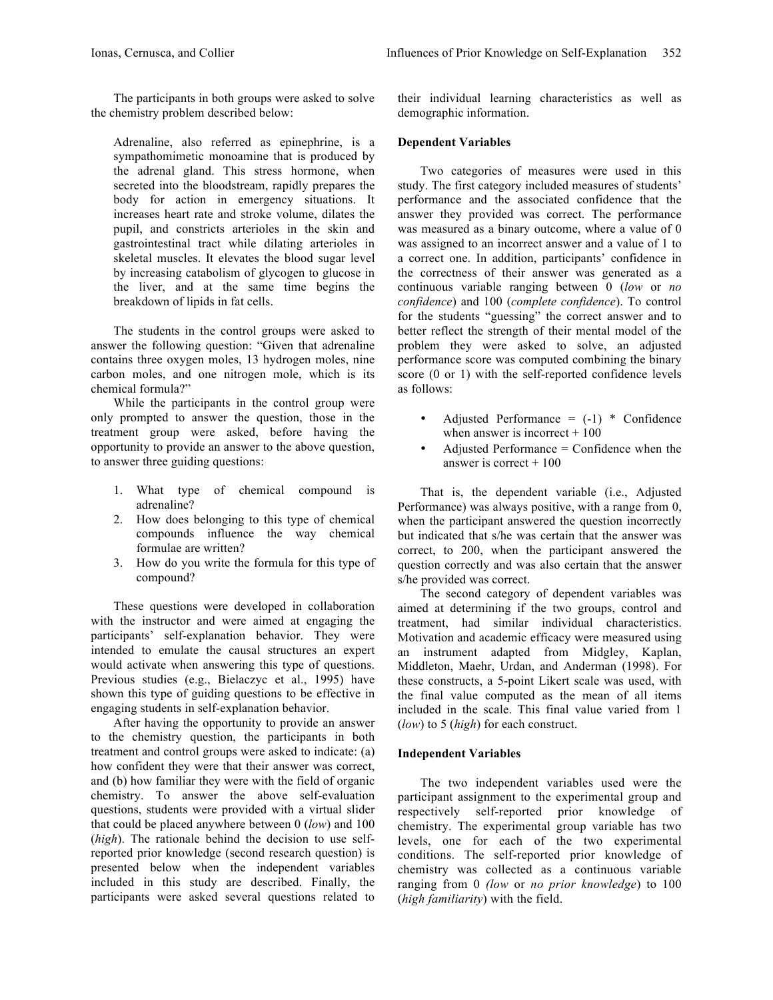The participants in both groups were asked to solve the chemistry problem described below:

Adrenaline, also referred as epinephrine, is a sympathomimetic monoamine that is produced by the adrenal gland. This stress hormone, when secreted into the bloodstream, rapidly prepares the body for action in emergency situations. It increases heart rate and stroke volume, dilates the pupil, and constricts arterioles in the skin and gastrointestinal tract while dilating arterioles in skeletal muscles. It elevates the blood sugar level by increasing catabolism of glycogen to glucose in the liver, and at the same time begins the breakdown of lipids in fat cells.

The students in the control groups were asked to answer the following question: "Given that adrenaline contains three oxygen moles, 13 hydrogen moles, nine carbon moles, and one nitrogen mole, which is its chemical formula?"

While the participants in the control group were only prompted to answer the question, those in the treatment group were asked, before having the opportunity to provide an answer to the above question, to answer three guiding questions:

- 1. What type of chemical compound is adrenaline?
- 2. How does belonging to this type of chemical compounds influence the way chemical formulae are written?
- 3. How do you write the formula for this type of compound?

These questions were developed in collaboration with the instructor and were aimed at engaging the participants' self-explanation behavior. They were intended to emulate the causal structures an expert would activate when answering this type of questions. Previous studies (e.g., Bielaczyc et al., 1995) have shown this type of guiding questions to be effective in engaging students in self-explanation behavior.

After having the opportunity to provide an answer to the chemistry question, the participants in both treatment and control groups were asked to indicate: (a) how confident they were that their answer was correct, and (b) how familiar they were with the field of organic chemistry. To answer the above self-evaluation questions, students were provided with a virtual slider that could be placed anywhere between 0 (*low*) and 100 (*high*). The rationale behind the decision to use selfreported prior knowledge (second research question) is presented below when the independent variables included in this study are described. Finally, the participants were asked several questions related to

their individual learning characteristics as well as demographic information.

### **Dependent Variables**

Two categories of measures were used in this study. The first category included measures of students' performance and the associated confidence that the answer they provided was correct. The performance was measured as a binary outcome, where a value of 0 was assigned to an incorrect answer and a value of 1 to a correct one. In addition, participants' confidence in the correctness of their answer was generated as a continuous variable ranging between 0 (*low* or *no confidence*) and 100 (*complete confidence*). To control for the students "guessing" the correct answer and to better reflect the strength of their mental model of the problem they were asked to solve, an adjusted performance score was computed combining the binary score (0 or 1) with the self-reported confidence levels as follows:

- Adjusted Performance =  $(-1)$  \* Confidence when answer is incorrect  $+100$
- Adjusted Performance = Confidence when the answer is correct  $+100$

That is, the dependent variable (i.e., Adjusted Performance) was always positive, with a range from 0, when the participant answered the question incorrectly but indicated that s/he was certain that the answer was correct, to 200, when the participant answered the question correctly and was also certain that the answer s/he provided was correct.

The second category of dependent variables was aimed at determining if the two groups, control and treatment, had similar individual characteristics. Motivation and academic efficacy were measured using an instrument adapted from Midgley, Kaplan, Middleton, Maehr, Urdan, and Anderman (1998). For these constructs, a 5-point Likert scale was used, with the final value computed as the mean of all items included in the scale. This final value varied from 1 (*low*) to 5 (*high*) for each construct.

#### **Independent Variables**

The two independent variables used were the participant assignment to the experimental group and respectively self-reported prior knowledge of chemistry. The experimental group variable has two levels, one for each of the two experimental conditions. The self-reported prior knowledge of chemistry was collected as a continuous variable ranging from 0 *(low* or *no prior knowledge*) to 100 (*high familiarity*) with the field.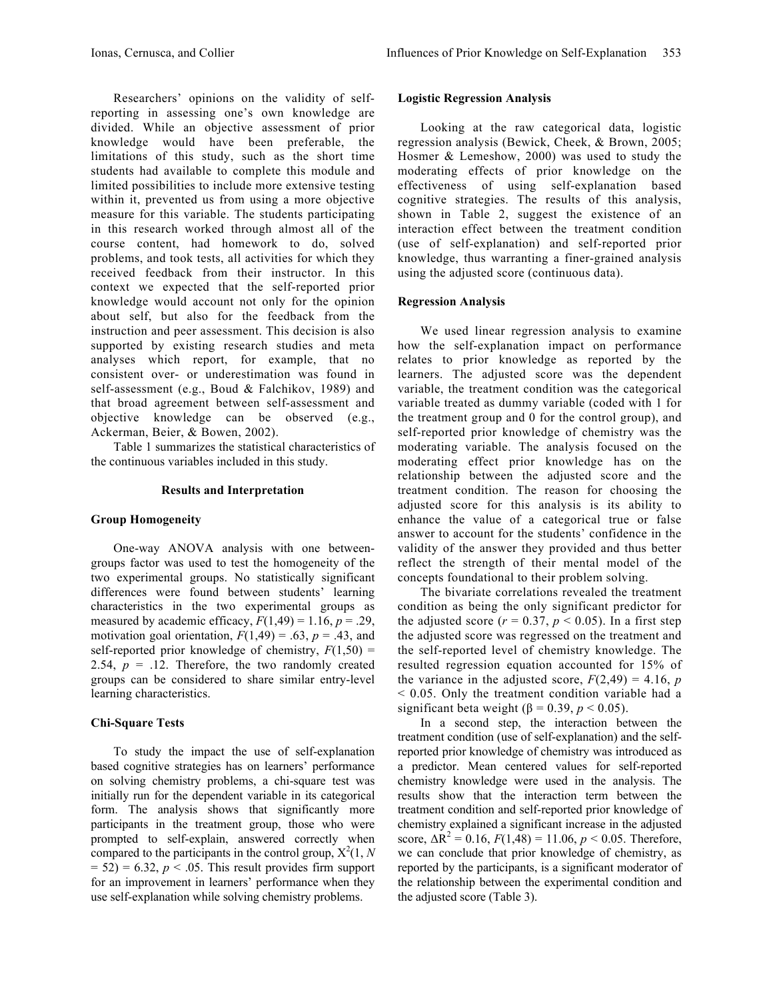Researchers' opinions on the validity of selfreporting in assessing one's own knowledge are divided. While an objective assessment of prior knowledge would have been preferable, the limitations of this study, such as the short time students had available to complete this module and limited possibilities to include more extensive testing within it, prevented us from using a more objective measure for this variable. The students participating in this research worked through almost all of the course content, had homework to do, solved problems, and took tests, all activities for which they received feedback from their instructor. In this context we expected that the self-reported prior knowledge would account not only for the opinion about self, but also for the feedback from the instruction and peer assessment. This decision is also supported by existing research studies and meta analyses which report, for example, that no consistent over- or underestimation was found in self-assessment (e.g., Boud & Falchikov, 1989) and that broad agreement between self-assessment and objective knowledge can be observed (e.g., Ackerman, Beier, & Bowen, 2002).

Table 1 summarizes the statistical characteristics of the continuous variables included in this study.

#### **Results and Interpretation**

#### **Group Homogeneity**

One-way ANOVA analysis with one betweengroups factor was used to test the homogeneity of the two experimental groups. No statistically significant differences were found between students' learning characteristics in the two experimental groups as measured by academic efficacy,  $F(1,49) = 1.16$ ,  $p = .29$ , motivation goal orientation,  $F(1,49) = .63$ ,  $p = .43$ , and self-reported prior knowledge of chemistry,  $F(1,50)$  = 2.54,  $p = 0.12$ . Therefore, the two randomly created groups can be considered to share similar entry-level learning characteristics.

#### **Chi-Square Tests**

To study the impact the use of self-explanation based cognitive strategies has on learners' performance on solving chemistry problems, a chi-square test was initially run for the dependent variable in its categorical form. The analysis shows that significantly more participants in the treatment group, those who were prompted to self-explain, answered correctly when compared to the participants in the control group,  $X^2(1, N)$  $= 52$ ) = 6.32, *p* < .05. This result provides firm support for an improvement in learners' performance when they use self-explanation while solving chemistry problems.

## **Logistic Regression Analysis**

Looking at the raw categorical data, logistic regression analysis (Bewick, Cheek, & Brown, 2005; Hosmer & Lemeshow, 2000) was used to study the moderating effects of prior knowledge on the effectiveness of using self-explanation based cognitive strategies. The results of this analysis, shown in Table 2, suggest the existence of an interaction effect between the treatment condition (use of self-explanation) and self-reported prior knowledge, thus warranting a finer-grained analysis using the adjusted score (continuous data).

## **Regression Analysis**

We used linear regression analysis to examine how the self-explanation impact on performance relates to prior knowledge as reported by the learners. The adjusted score was the dependent variable, the treatment condition was the categorical variable treated as dummy variable (coded with 1 for the treatment group and 0 for the control group), and self-reported prior knowledge of chemistry was the moderating variable. The analysis focused on the moderating effect prior knowledge has on the relationship between the adjusted score and the treatment condition. The reason for choosing the adjusted score for this analysis is its ability to enhance the value of a categorical true or false answer to account for the students' confidence in the validity of the answer they provided and thus better reflect the strength of their mental model of the concepts foundational to their problem solving.

The bivariate correlations revealed the treatment condition as being the only significant predictor for the adjusted score ( $r = 0.37$ ,  $p < 0.05$ ). In a first step the adjusted score was regressed on the treatment and the self-reported level of chemistry knowledge. The resulted regression equation accounted for 15% of the variance in the adjusted score,  $F(2,49) = 4.16$ , *p* < 0.05. Only the treatment condition variable had a significant beta weight ( $\beta$  = 0.39,  $p$  < 0.05).

In a second step, the interaction between the treatment condition (use of self-explanation) and the selfreported prior knowledge of chemistry was introduced as a predictor. Mean centered values for self-reported chemistry knowledge were used in the analysis. The results show that the interaction term between the treatment condition and self-reported prior knowledge of chemistry explained a significant increase in the adjusted score,  $\Delta R^2 = 0.16$ ,  $F(1,48) = 11.06$ ,  $p < 0.05$ . Therefore, we can conclude that prior knowledge of chemistry, as reported by the participants, is a significant moderator of the relationship between the experimental condition and the adjusted score (Table 3).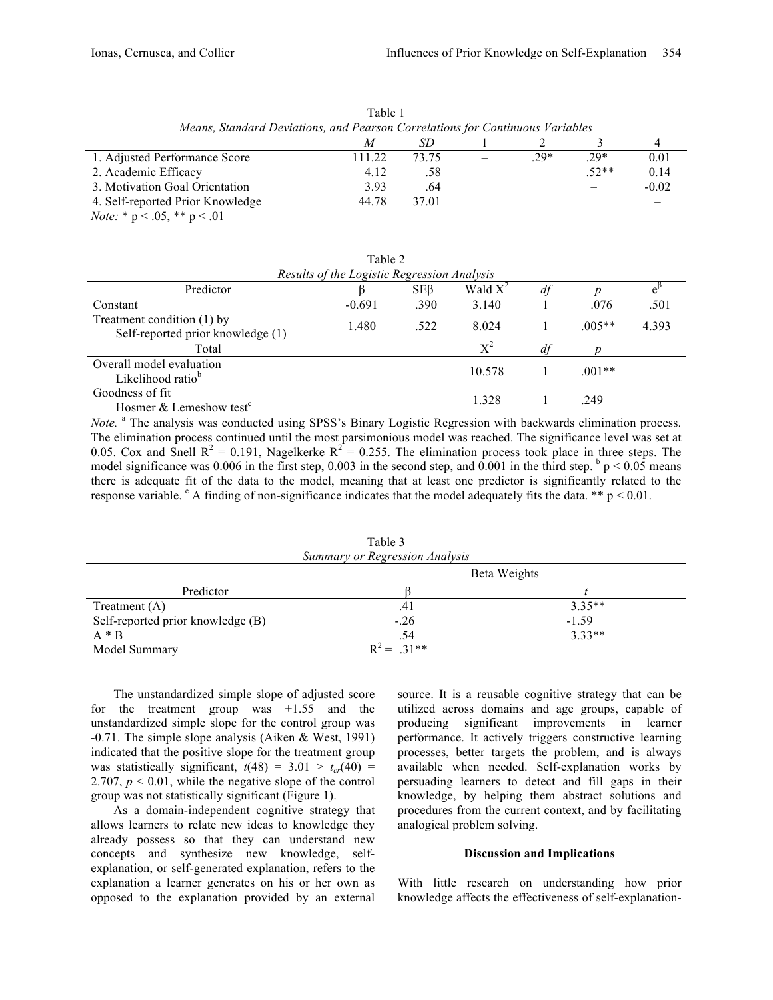| Means, Standard Deviations, and Pearson Correlations for Continuous Variables |        |       |  |        |         |         |  |
|-------------------------------------------------------------------------------|--------|-------|--|--------|---------|---------|--|
|                                                                               |        |       |  |        |         |         |  |
| 1. Adjusted Performance Score                                                 | 111.22 | 73.75 |  | $.29*$ | .29*    | 0.01    |  |
| 2. Academic Efficacy                                                          | 4.12   | .58   |  |        | $.52**$ | 0.14    |  |
| 3. Motivation Goal Orientation                                                | 3.93   | .64   |  |        |         | $-0.02$ |  |
| 4. Self-reported Prior Knowledge                                              | 44.78  | 37.01 |  |        |         |         |  |
|                                                                               |        |       |  |        |         |         |  |

Table 1

*Note:* \* p < .05, \*\* p < .01

Table 2 *Results of the Logistic Regression Analysis* Predictor  $\beta$  SEβ Wald  $X^2$  *df p* e  $e^{\beta}$ Constant 501 1 0.691 0.691 0.390 3.140 1 0.076 0.501 Treatment condition (1) by Self-reported prior knowledge (1)  $1.480$   $.522$   $8.024$  1  $.005**$  4.393 Total  $X^2$  *df p* Overall model evaluation  $\mu$  10.578 1 .001\*\* Goodness of fit Hosmer & Lemeshow test<sup>c</sup> 1.328 1 .249

*Note.* <sup>a</sup> The analysis was conducted using SPSS's Binary Logistic Regression with backwards elimination process. The elimination process continued until the most parsimonious model was reached. The significance level was set at 0.05. Cox and Snell  $R^2 = 0.191$ , Nagelkerke  $R^2 = 0.255$ . The elimination process took place in three steps. The model significance was 0.006 in the first step, 0.003 in the second step, and  $0.001$  in the third step.  $\frac{b}{p}$  < 0.05 means there is adequate fit of the data to the model, meaning that at least one predictor is significantly related to the response variable.  $c_A$  finding of non-significance indicates that the model adequately fits the data. \*\* p < 0.01.

| Summary or Regression Analysis    |              |          |  |  |  |  |  |
|-----------------------------------|--------------|----------|--|--|--|--|--|
|                                   | Beta Weights |          |  |  |  |  |  |
| Predictor                         |              |          |  |  |  |  |  |
| Treatment $(A)$                   | .41          | $3.35**$ |  |  |  |  |  |
| Self-reported prior knowledge (B) | $-.26$       | $-1.59$  |  |  |  |  |  |
| $A * B$                           | .54          | $3.33**$ |  |  |  |  |  |
| Model Summary                     | $R^2 = 31**$ |          |  |  |  |  |  |

Table 3

The unstandardized simple slope of adjusted score for the treatment group was +1.55 and the unstandardized simple slope for the control group was -0.71. The simple slope analysis (Aiken & West, 1991) indicated that the positive slope for the treatment group was statistically significant,  $t(48) = 3.01 > t_{cr}(40) =$ 2.707,  $p < 0.01$ , while the negative slope of the control group was not statistically significant (Figure 1).

As a domain-independent cognitive strategy that allows learners to relate new ideas to knowledge they already possess so that they can understand new concepts and synthesize new knowledge, selfexplanation, or self-generated explanation, refers to the explanation a learner generates on his or her own as opposed to the explanation provided by an external

source. It is a reusable cognitive strategy that can be utilized across domains and age groups, capable of producing significant improvements in learner performance. It actively triggers constructive learning processes, better targets the problem, and is always available when needed. Self-explanation works by persuading learners to detect and fill gaps in their knowledge, by helping them abstract solutions and procedures from the current context, and by facilitating analogical problem solving.

#### **Discussion and Implications**

With little research on understanding how prior knowledge affects the effectiveness of self-explanation-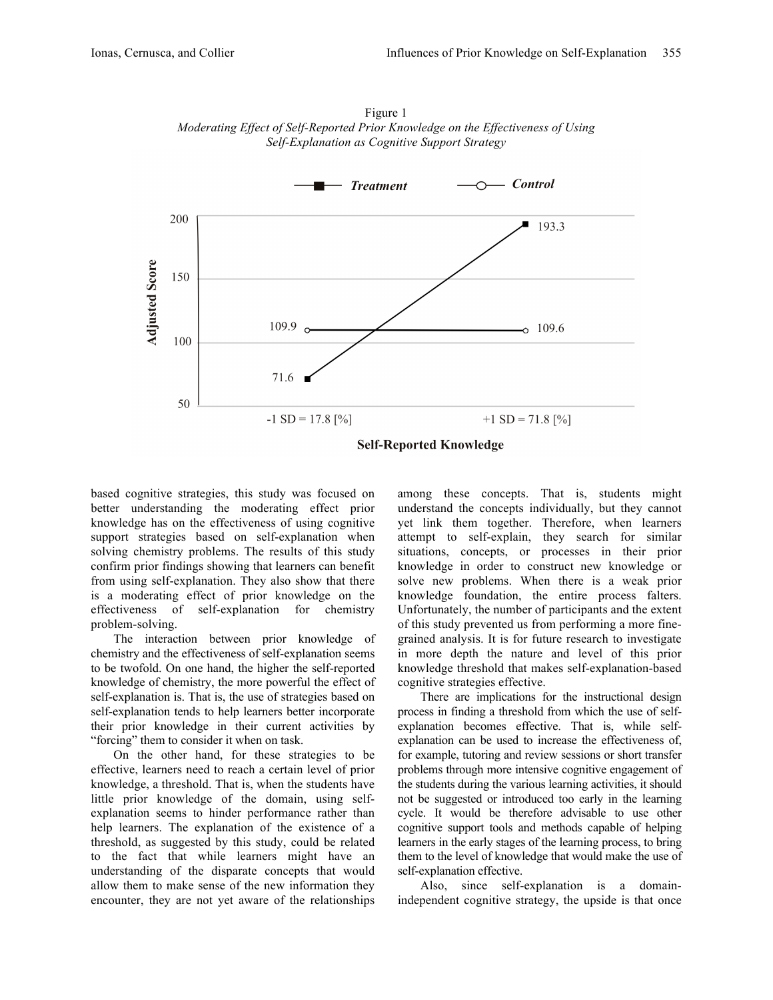

Figure 1 *Moderating Effect of Self-Reported Prior Knowledge on the Effectiveness of Using Self-Explanation as Cognitive Support Strategy*

based cognitive strategies, this study was focused on better understanding the moderating effect prior knowledge has on the effectiveness of using cognitive support strategies based on self-explanation when solving chemistry problems. The results of this study confirm prior findings showing that learners can benefit from using self-explanation. They also show that there is a moderating effect of prior knowledge on the effectiveness of self-explanation for chemistry problem-solving.

The interaction between prior knowledge of chemistry and the effectiveness of self-explanation seems to be twofold. On one hand, the higher the self-reported knowledge of chemistry, the more powerful the effect of self-explanation is. That is, the use of strategies based on self-explanation tends to help learners better incorporate their prior knowledge in their current activities by "forcing" them to consider it when on task.

On the other hand, for these strategies to be effective, learners need to reach a certain level of prior knowledge, a threshold. That is, when the students have little prior knowledge of the domain, using selfexplanation seems to hinder performance rather than help learners. The explanation of the existence of a threshold, as suggested by this study, could be related to the fact that while learners might have an understanding of the disparate concepts that would allow them to make sense of the new information they encounter, they are not yet aware of the relationships

among these concepts. That is, students might understand the concepts individually, but they cannot yet link them together. Therefore, when learners attempt to self-explain, they search for similar situations, concepts, or processes in their prior knowledge in order to construct new knowledge or solve new problems. When there is a weak prior knowledge foundation, the entire process falters. Unfortunately, the number of participants and the extent of this study prevented us from performing a more finegrained analysis. It is for future research to investigate in more depth the nature and level of this prior knowledge threshold that makes self-explanation-based cognitive strategies effective.

There are implications for the instructional design process in finding a threshold from which the use of selfexplanation becomes effective. That is, while selfexplanation can be used to increase the effectiveness of, for example, tutoring and review sessions or short transfer problems through more intensive cognitive engagement of the students during the various learning activities, it should not be suggested or introduced too early in the learning cycle. It would be therefore advisable to use other cognitive support tools and methods capable of helping learners in the early stages of the learning process, to bring them to the level of knowledge that would make the use of self-explanation effective.

Also, since self-explanation is a domainindependent cognitive strategy, the upside is that once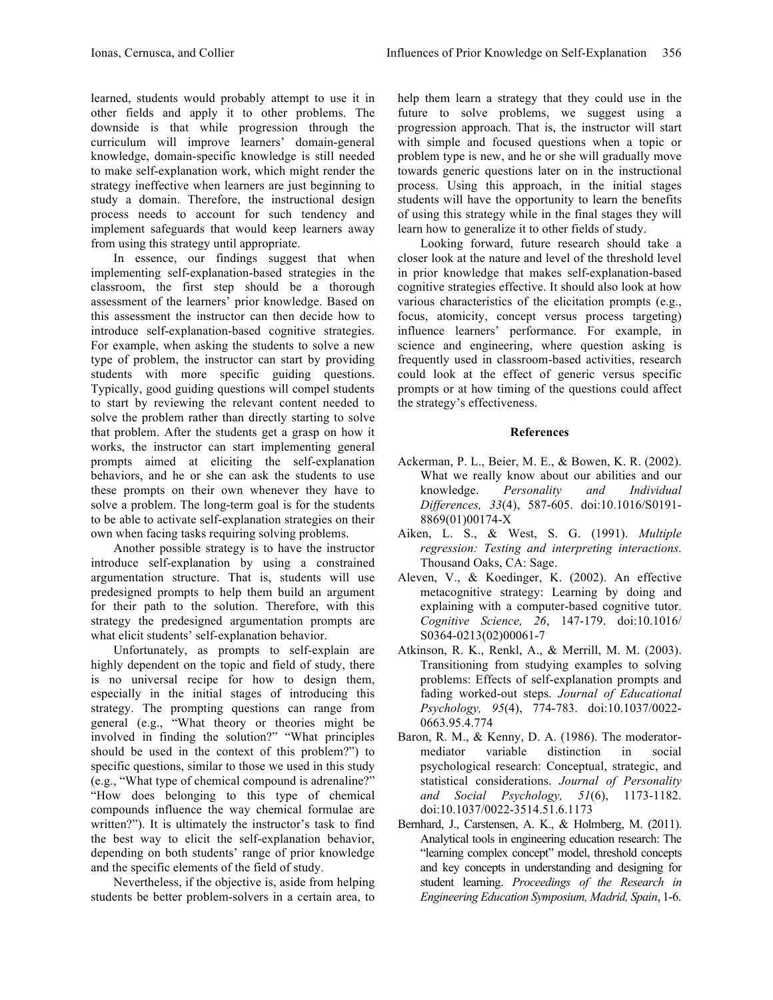learned, students would probably attempt to use it in other fields and apply it to other problems. The downside is that while progression through the curriculum will improve learners' domain-general knowledge, domain-specific knowledge is still needed to make self-explanation work, which might render the strategy ineffective when learners are just beginning to study a domain. Therefore, the instructional design process needs to account for such tendency and implement safeguards that would keep learners away from using this strategy until appropriate.

In essence, our findings suggest that when implementing self-explanation-based strategies in the classroom, the first step should be a thorough assessment of the learners' prior knowledge. Based on this assessment the instructor can then decide how to introduce self-explanation-based cognitive strategies. For example, when asking the students to solve a new type of problem, the instructor can start by providing students with more specific guiding questions. Typically, good guiding questions will compel students to start by reviewing the relevant content needed to solve the problem rather than directly starting to solve that problem. After the students get a grasp on how it works, the instructor can start implementing general prompts aimed at eliciting the self-explanation behaviors, and he or she can ask the students to use these prompts on their own whenever they have to solve a problem. The long-term goal is for the students to be able to activate self-explanation strategies on their own when facing tasks requiring solving problems.

Another possible strategy is to have the instructor introduce self-explanation by using a constrained argumentation structure. That is, students will use predesigned prompts to help them build an argument for their path to the solution. Therefore, with this strategy the predesigned argumentation prompts are what elicit students' self-explanation behavior.

Unfortunately, as prompts to self-explain are highly dependent on the topic and field of study, there is no universal recipe for how to design them, especially in the initial stages of introducing this strategy. The prompting questions can range from general (e.g., "What theory or theories might be involved in finding the solution?" "What principles should be used in the context of this problem?") to specific questions, similar to those we used in this study (e.g., "What type of chemical compound is adrenaline?" "How does belonging to this type of chemical compounds influence the way chemical formulae are written?"). It is ultimately the instructor's task to find the best way to elicit the self-explanation behavior, depending on both students' range of prior knowledge and the specific elements of the field of study.

Nevertheless, if the objective is, aside from helping students be better problem-solvers in a certain area, to

help them learn a strategy that they could use in the future to solve problems, we suggest using a progression approach. That is, the instructor will start with simple and focused questions when a topic or problem type is new, and he or she will gradually move towards generic questions later on in the instructional process. Using this approach, in the initial stages students will have the opportunity to learn the benefits of using this strategy while in the final stages they will learn how to generalize it to other fields of study.

Looking forward, future research should take a closer look at the nature and level of the threshold level in prior knowledge that makes self-explanation-based cognitive strategies effective. It should also look at how various characteristics of the elicitation prompts (e.g., focus, atomicity, concept versus process targeting) influence learners' performance. For example, in science and engineering, where question asking is frequently used in classroom-based activities, research could look at the effect of generic versus specific prompts or at how timing of the questions could affect the strategy's effectiveness.

# **References**

- Ackerman, P. L., Beier, M. E., & Bowen, K. R. (2002). What we really know about our abilities and our knowledge. *Personality and Individual Differences, 33*(4), 587-605. doi:10.1016/S0191- 8869(01)00174-X
- Aiken, L. S., & West, S. G. (1991). *Multiple regression: Testing and interpreting interactions*. Thousand Oaks, CA: Sage.
- Aleven, V., & Koedinger, K. (2002). An effective metacognitive strategy: Learning by doing and explaining with a computer-based cognitive tutor. *Cognitive Science, 26*, 147-179. doi:10.1016/ S0364-0213(02)00061-7
- Atkinson, R. K., Renkl, A., & Merrill, M. M. (2003). Transitioning from studying examples to solving problems: Effects of self-explanation prompts and fading worked-out steps. *Journal of Educational Psychology, 95*(4), 774-783. doi:10.1037/0022- 0663.95.4.774
- Baron, R. M., & Kenny, D. A. (1986). The moderatormediator variable distinction in social psychological research: Conceptual, strategic, and statistical considerations. *Journal of Personality and Social Psychology, 51*(6), 1173-1182. doi:10.1037/0022-3514.51.6.1173
- Bernhard, J., Carstensen, A. K., & Holmberg, M. (2011). Analytical tools in engineering education research: The "learning complex concept" model, threshold concepts and key concepts in understanding and designing for student learning. *Proceedings of the Research in Engineering Education Symposium, Madrid, Spain*, 1-6.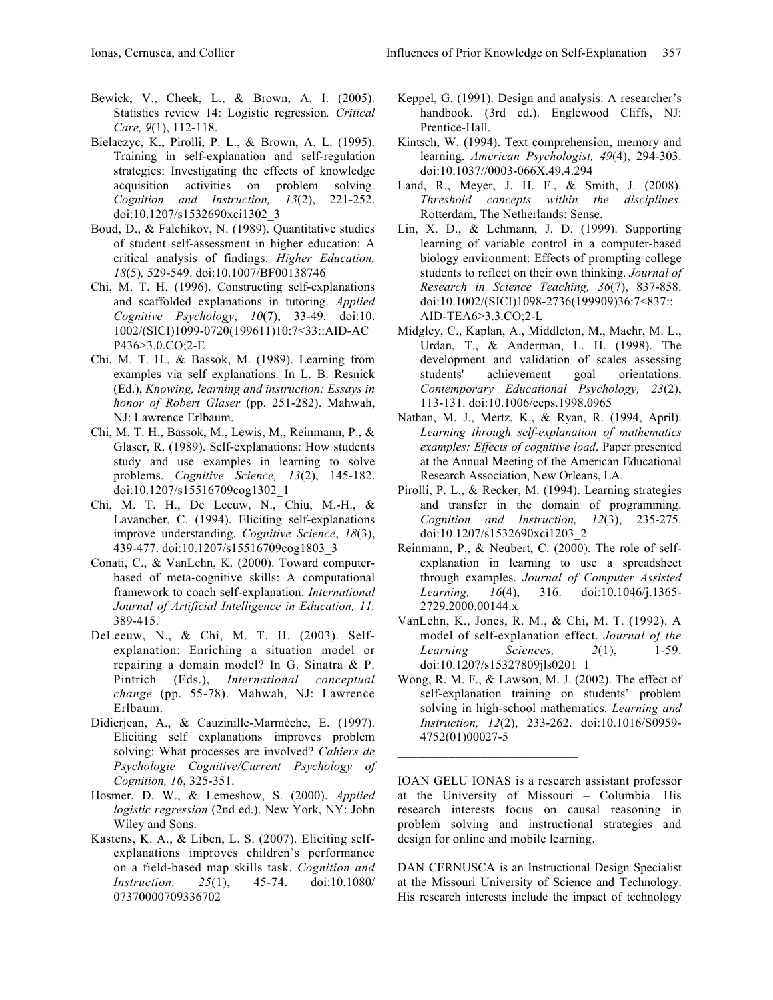- Bewick, V., Cheek, L., & Brown, A. I. (2005). Statistics review 14: Logistic regression*. Critical Care, 9*(1), 112-118.
- Bielaczyc, K., Pirolli, P. L., & Brown, A. L. (1995). Training in self-explanation and self-regulation strategies: Investigating the effects of knowledge acquisition activities on problem solving. *Cognition and Instruction, 13*(2), 221-252. doi:10.1207/s1532690xci1302\_3
- Boud, D., & Falchikov, N. (1989). Quantitative studies of student self-assessment in higher education: A critical analysis of findings. *Higher Education, 18*(5)*,* 529-549. doi:10.1007/BF00138746
- Chi, M. T. H. (1996). Constructing self-explanations and scaffolded explanations in tutoring. *Applied Cognitive Psychology*, *10*(7), 33-49. doi:10. 1002/(SICI)1099-0720(199611)10:7<33::AID-AC P436>3.0.CO;2-E
- Chi, M. T. H., & Bassok, M. (1989). Learning from examples via self explanations. In L. B. Resnick (Ed.), *Knowing, learning and instruction: Essays in honor of Robert Glaser* (pp. 251-282). Mahwah, NJ: Lawrence Erlbaum.
- Chi, M. T. H., Bassok, M., Lewis, M., Reinmann, P., & Glaser, R. (1989). Self-explanations: How students study and use examples in learning to solve problems. *Cognitive Science, 13*(2), 145-182. doi:10.1207/s15516709cog1302\_1
- Chi, M. T. H., De Leeuw, N., Chiu, M.-H., & Lavancher, C. (1994). Eliciting self-explanations improve understanding. *Cognitive Science*, *18*(3), 439-477. doi:10.1207/s15516709cog1803\_3
- Conati, C., & VanLehn, K. (2000). Toward computerbased of meta-cognitive skills: A computational framework to coach self-explanation. *International Journal of Artificial Intelligence in Education, 11,* 389-415.
- DeLeeuw, N., & Chi, M. T. H. (2003). Selfexplanation: Enriching a situation model or repairing a domain model? In G. Sinatra & P. Pintrich (Eds.), *International conceptual change* (pp. 55-78). Mahwah, NJ: Lawrence Erlbaum.
- Didierjean, A., & Cauzinille-Marmèche, E. (1997). Eliciting self explanations improves problem solving: What processes are involved? *Cahiers de Psychologie Cognitive/Current Psychology of Cognition, 16*, 325-351.
- Hosmer, D. W., & Lemeshow, S. (2000). *Applied logistic regression* (2nd ed.). New York, NY: John Wiley and Sons.
- Kastens, K. A., & Liben, L. S. (2007). Eliciting selfexplanations improves children's performance on a field-based map skills task. *Cognition and Instruction, 25*(1), 45-74. doi:10.1080/ 07370000709336702
- Keppel, G. (1991). Design and analysis: A researcher's handbook. (3rd ed.). Englewood Cliffs, NJ: Prentice-Hall.
- Kintsch, W. (1994). Text comprehension, memory and learning. *American Psychologist, 49*(4), 294-303. doi:10.1037//0003-066X.49.4.294
- Land, R., Meyer, J. H. F., & Smith, J. (2008). *Threshold concepts within the disciplines*. Rotterdam, The Netherlands: Sense.
- Lin, X. D., & Lehmann, J. D. (1999). Supporting learning of variable control in a computer-based biology environment: Effects of prompting college students to reflect on their own thinking. *Journal of Research in Science Teaching, 36*(7), 837-858. doi:10.1002/(SICI)1098-2736(199909)36:7<837:: AID-TEA6>3.3.CO;2-L
- Midgley, C., Kaplan, A., Middleton, M., Maehr, M. L., Urdan, T., & Anderman, L. H. (1998). The development and validation of scales assessing students' achievement goal orientations. *Contemporary Educational Psychology, 23*(2), 113-131. doi:10.1006/ceps.1998.0965
- Nathan, M. J., Mertz, K., & Ryan, R. (1994, April). *Learning through self-explanation of mathematics examples: Effects of cognitive load*. Paper presented at the Annual Meeting of the American Educational Research Association, New Orleans, LA.
- Pirolli, P. L., & Recker, M. (1994). Learning strategies and transfer in the domain of programming. *Cognition and Instruction, 12*(3), 235-275. doi:10.1207/s1532690xci1203\_2
- Reinmann, P., & Neubert, C. (2000). The role of selfexplanation in learning to use a spreadsheet through examples. *Journal of Computer Assisted Learning, 16*(4), 316. doi:10.1046/j.1365- 2729.2000.00144.x
- VanLehn, K., Jones, R. M., & Chi, M. T. (1992). A model of self-explanation effect. *Journal of the Learning Sciences, 2*(1), 1-59. doi:10.1207/s15327809jls0201\_1
- Wong, R. M. F., & Lawson, M. J. (2002). The effect of self-explanation training on students' problem solving in high-school mathematics. *Learning and Instruction, 12*(2), 233-262. doi:10.1016/S0959- 4752(01)00027-5

 $\mathcal{L}_\text{max}$  , where  $\mathcal{L}_\text{max}$  and  $\mathcal{L}_\text{max}$ 

IOAN GELU IONAS is a research assistant professor at the University of Missouri – Columbia. His research interests focus on causal reasoning in problem solving and instructional strategies and design for online and mobile learning.

DAN CERNUSCA is an Instructional Design Specialist at the Missouri University of Science and Technology. His research interests include the impact of technology